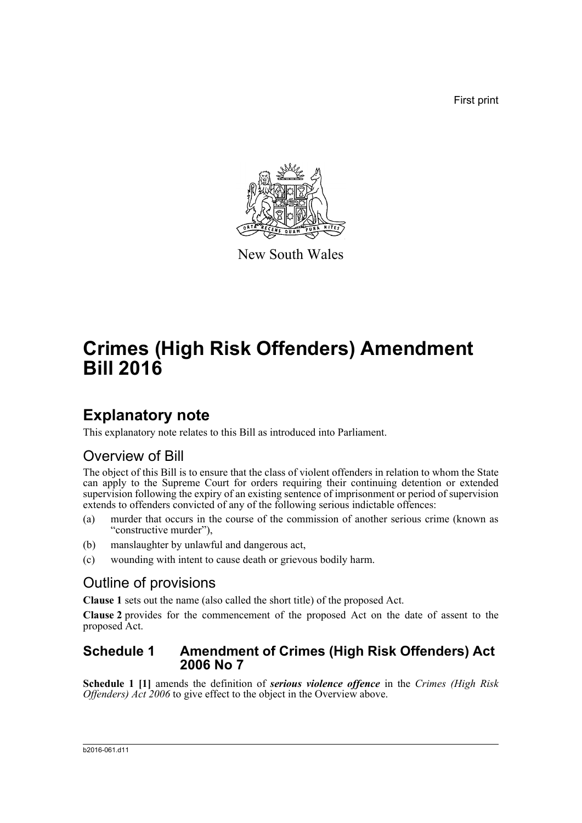First print



New South Wales

# **Crimes (High Risk Offenders) Amendment Bill 2016**

## **Explanatory note**

This explanatory note relates to this Bill as introduced into Parliament.

### Overview of Bill

The object of this Bill is to ensure that the class of violent offenders in relation to whom the State can apply to the Supreme Court for orders requiring their continuing detention or extended supervision following the expiry of an existing sentence of imprisonment or period of supervision extends to offenders convicted of any of the following serious indictable offences:

- (a) murder that occurs in the course of the commission of another serious crime (known as "constructive murder"),
- (b) manslaughter by unlawful and dangerous act,
- (c) wounding with intent to cause death or grievous bodily harm.

### Outline of provisions

**Clause 1** sets out the name (also called the short title) of the proposed Act.

**Clause 2** provides for the commencement of the proposed Act on the date of assent to the proposed Act.

#### **Schedule 1 Amendment of Crimes (High Risk Offenders) Act 2006 No 7**

**Schedule 1 [1]** amends the definition of *serious violence offence* in the *Crimes (High Risk Offenders) Act 2006* to give effect to the object in the Overview above.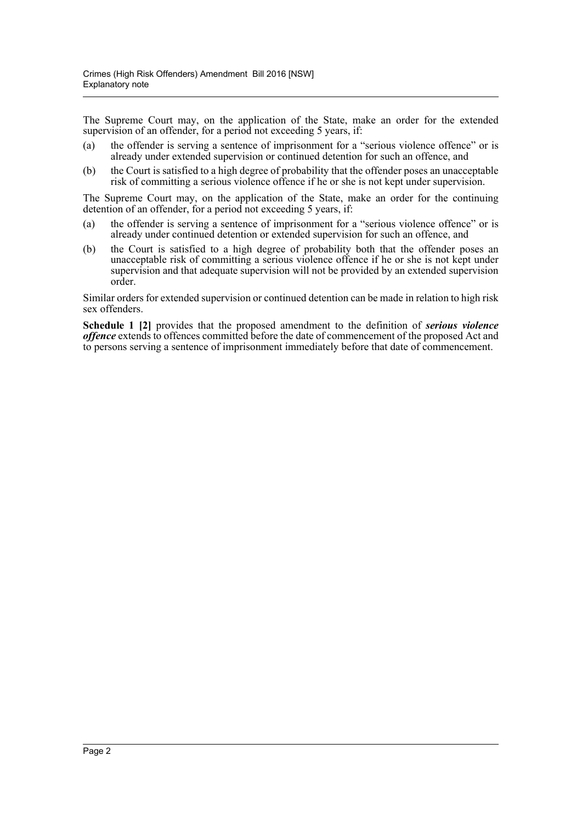The Supreme Court may, on the application of the State, make an order for the extended supervision of an offender, for a period not exceeding 5 years, if:

- (a) the offender is serving a sentence of imprisonment for a "serious violence offence" or is already under extended supervision or continued detention for such an offence, and
- (b) the Court is satisfied to a high degree of probability that the offender poses an unacceptable risk of committing a serious violence offence if he or she is not kept under supervision.

The Supreme Court may, on the application of the State, make an order for the continuing detention of an offender, for a period not exceeding 5 years, if:

- (a) the offender is serving a sentence of imprisonment for a "serious violence offence" or is already under continued detention or extended supervision for such an offence, and
- (b) the Court is satisfied to a high degree of probability both that the offender poses an unacceptable risk of committing a serious violence offence if he or she is not kept under supervision and that adequate supervision will not be provided by an extended supervision order.

Similar orders for extended supervision or continued detention can be made in relation to high risk sex offenders.

**Schedule 1 [2]** provides that the proposed amendment to the definition of *serious violence offence* extends to offences committed before the date of commencement of the proposed Act and to persons serving a sentence of imprisonment immediately before that date of commencement.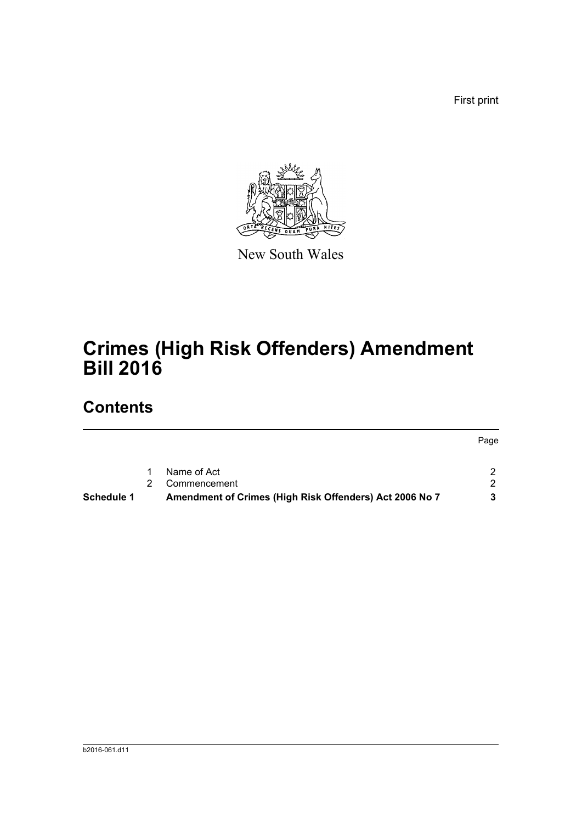First print



New South Wales

# **Crimes (High Risk Offenders) Amendment Bill 2016**

## **Contents**

|                   |   |                                                         | Page |
|-------------------|---|---------------------------------------------------------|------|
|                   | 1 | Name of Act                                             |      |
|                   |   | Commencement                                            |      |
| <b>Schedule 1</b> |   | Amendment of Crimes (High Risk Offenders) Act 2006 No 7 |      |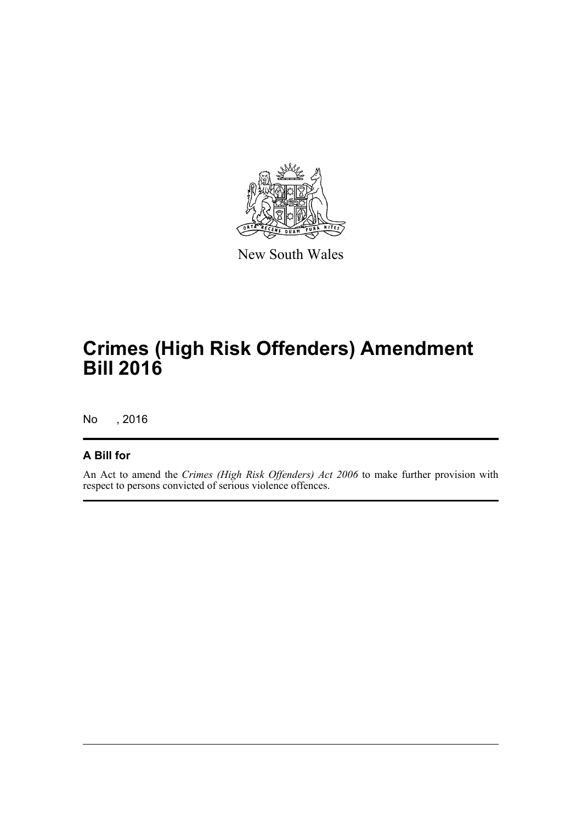

New South Wales

# **Crimes (High Risk Offenders) Amendment Bill 2016**

No , 2016

#### **A Bill for**

An Act to amend the *Crimes (High Risk Offenders) Act 2006* to make further provision with respect to persons convicted of serious violence offences.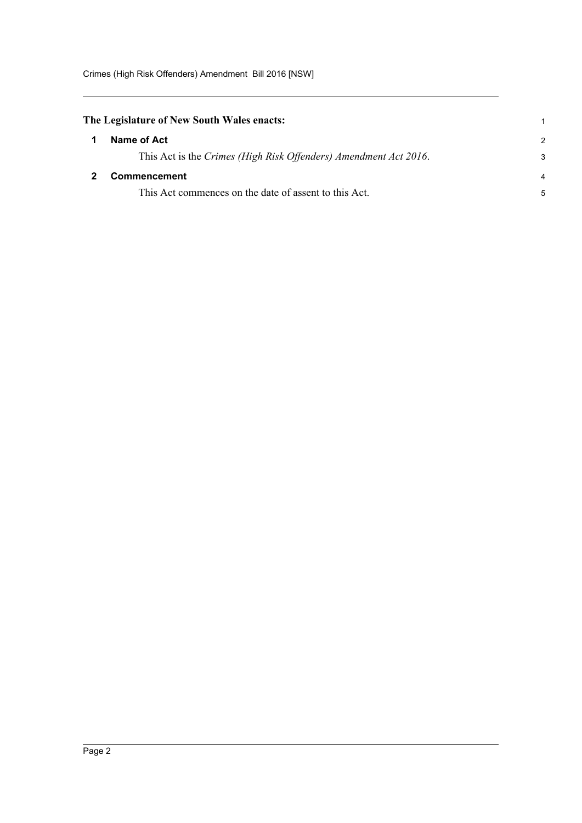<span id="page-4-1"></span><span id="page-4-0"></span>

| The Legislature of New South Wales enacts:                       |               |
|------------------------------------------------------------------|---------------|
| Name of Act                                                      | $\mathcal{P}$ |
| This Act is the Crimes (High Risk Offenders) Amendment Act 2016. | 3             |
| <b>Commencement</b>                                              |               |
| This Act commences on the date of assent to this Act.            | 5             |